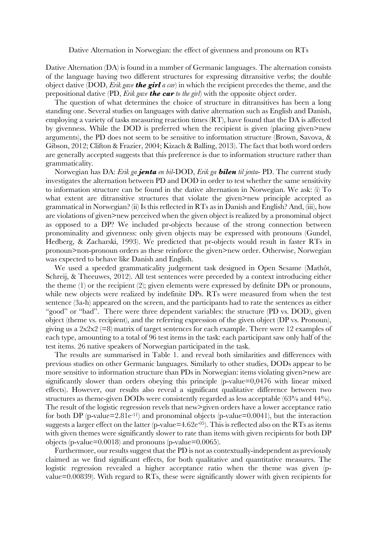Dative Alternation in Norwegian: the effect of givenness and pronouns on RTs

Dative Alternation (DA) is found in a number of Germanic languages. The alternation consists of the language having two different structures for expressing ditransitive verbs; the double object dative (DOD, *Erik gave the girl a car*) in which the recipient precedes the theme, and the prepositional dative (PD, *Erik gave the car to the girl*) with the opposite object order.

The question of what determines the choice of structure in ditransitives has been a long standing one. Several studies on languages with dative alternation such as English and Danish, employing a variety of tasks measuring reaction times (RT), have found that the DA is affected by givenness. While the DOD is preferred when the recipient is given (placing given>new arguments), the PD does not seem to be sensitive to information structure (Brown, Savova, & Gibson, 2012; Clifton & Frazier, 2004; Kizach & Balling, 2013). The fact that both word orders are generally accepted suggests that this preference is due to information structure rather than grammaticality.

Norwegian has DA: *Erik ga jenta en bil*-DOD, *Erik ga bilen til jenta*- PD. The current study investigates the alternation between PD and DOD in order to test whether the same sensitivity to information structure can be found in the dative alternation in Norwegian. We ask: (i) To what extent are ditransitive structures that violate the given>new principle accepted as grammatical in Norwegian? (ii) Is this reflected in RTs as in Danish and English? And, (iii), how are violations of given>new perceived when the given object is realized by a pronominal object as opposed to a DP? We included pr-objects because of the strong connection between pronominality and givenness: only given objects may be expressed with pronouns (Gundel, Hedberg, & Zacharski, 1993). We predicted that pr-objects would result in faster RTs in pronoun>non-pronoun orders as these reinforce the given>new order. Otherwise, Norwegian was expected to behave like Danish and English.

We used a speeded grammaticality judgement task designed in Open Sesame (Mathôt, Schreij, & Theeuwes, 2012). All test sentences were preceded by a context introducing either the theme (1) or the recipient (2); given elements were expressed by definite DPs or pronouns, while new objects were realized by indefinite DPs. RTs were measured from when the test sentence (3a-h) appeared on the screen, and the participants had to rate the sentences as either "good" or "bad". There were three dependent variables: the structure (PD vs. DOD), given object (theme vs. recipient), and the referring expression of the given object (DP vs. Pronoun), giving us a  $2x2x2$  (=8) matrix of target sentences for each example. There were 12 examples of each type, amounting to a total of 96 test items in the task: each participant saw only half of the test items. 26 native speakers of Norwegian participated in the task.

The results are summarised in Table 1. and reveal both similarities and differences with previous studies on other Germanic languages. Similarly to other studies, DODs appear to be more sensitive to information structure than PDs in Norwegian: items violating given>new are significantly slower than orders obeying this principle (p-value=0,0476 with linear mixed effects). However, our results also reveal a significant qualitative difference between two structures as theme-given DODs were consistently regarded as less acceptable (63% and 44%). The result of the logistic regression revels that new>given orders have a lower acceptance ratio for both DP (p-value=2.81e<sup>-11</sup>) and pronominal objects (p-value=0.0041), but the interaction suggests a larger effect on the latter (p-value= $4.62e^{-0.5}$ ). This is reflected also on the RTs as items with given themes were significantly slower to rate than items with given recipients for both DP objects (p-value=0.0018) and pronouns (p-value=0.0065).

Furthermore, our results suggest that the PD is not as contextually-independent as previously claimed as we find significant effects, for both qualitative and quantitative measures. The logistic regression revealed a higher acceptance ratio when the theme was given (pvalue=0.00839). With regard to RTs, these were significantly slower with given recipients for